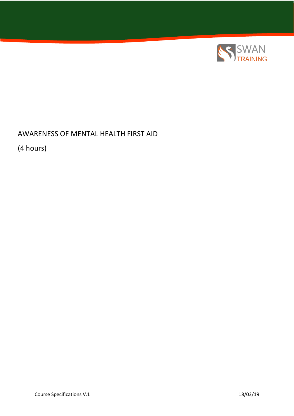

## AWARENESS OF MENTAL HEALTH FIRST AID

(4 hours)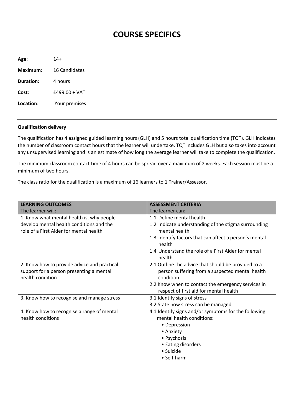## **COURSE SPECIFICS**

**Age**: 14+ **Maximum**: 16 Candidates **Duration**: 4 hours **Cost**: £499.00 + VAT **Location**: Your premises

## **Qualification delivery**

The qualification has 4 assigned guided learning hours (GLH) and 5 hours total qualification time (TQT). GLH indicates the number of classroom contact hours that the learner will undertake. TQT includes GLH but also takes into account any unsupervised learning and is an estimate of how long the average learner will take to complete the qualification.

The minimum classroom contact time of 4 hours can be spread over a maximum of 2 weeks. Each session must be a minimum of two hours.

The class ratio for the qualification is a maximum of 16 learners to 1 Trainer/Assessor.

| <b>LEARNING OUTCOMES</b>                                                                                                         | <b>ASSESSMENT CRITERIA</b>                                                                                                                                                                                                    |
|----------------------------------------------------------------------------------------------------------------------------------|-------------------------------------------------------------------------------------------------------------------------------------------------------------------------------------------------------------------------------|
| The learner will:                                                                                                                | The learner can:                                                                                                                                                                                                              |
| 1. Know what mental health is, why people<br>develop mental health conditions and the<br>role of a First Aider for mental health | 1.1 Define mental health<br>1.2 Indicate understanding of the stigma surrounding<br>mental health<br>1.3 Identify factors that can affect a person's mental<br>health<br>1.4 Understand the role of a First Aider for mental  |
| 2. Know how to provide advice and practical<br>support for a person presenting a mental<br>health condition                      | health<br>2.1 Outline the advice that should be provided to a<br>person suffering from a suspected mental health<br>condition<br>2.2 Know when to contact the emergency services in<br>respect of first aid for mental health |
| 3. Know how to recognise and manage stress                                                                                       | 3.1 Identify signs of stress<br>3.2 State how stress can be managed                                                                                                                                                           |
| 4. Know how to recognise a range of mental<br>health conditions                                                                  | 4.1 Identify signs and/or symptoms for the following<br>mental health conditions:<br>• Depression<br>• Anxiety<br>• Psychosis<br>• Eating disorders<br>• Suicide<br>• Self-harm                                               |